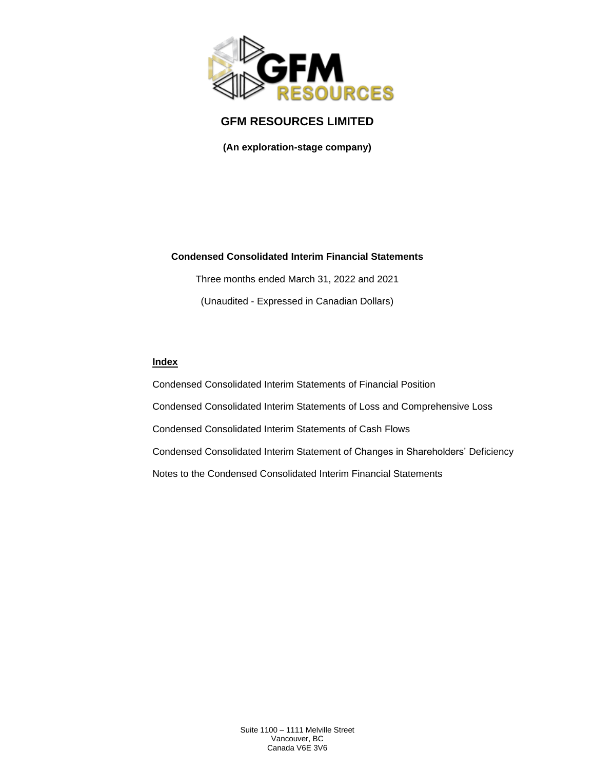

**(An exploration-stage company)**

### **Condensed Consolidated Interim Financial Statements**

Three months ended March 31, 2022 and 2021 (Unaudited - Expressed in Canadian Dollars)

### **Index**

Condensed Consolidated Interim Statements of Financial Position Condensed Consolidated Interim Statements of Loss and Comprehensive Loss Condensed Consolidated Interim Statements of Cash Flows Condensed Consolidated Interim Statement of Changes in Shareholders' Deficiency Notes to the Condensed Consolidated Interim Financial Statements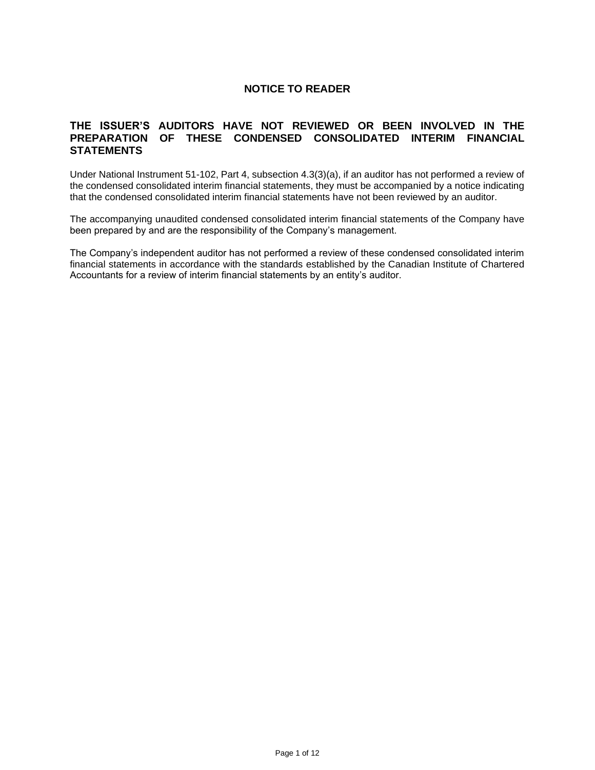## **NOTICE TO READER**

### **THE ISSUER'S AUDITORS HAVE NOT REVIEWED OR BEEN INVOLVED IN THE PREPARATION OF THESE CONDENSED CONSOLIDATED INTERIM FINANCIAL STATEMENTS**

Under National Instrument 51-102, Part 4, subsection 4.3(3)(a), if an auditor has not performed a review of the condensed consolidated interim financial statements, they must be accompanied by a notice indicating that the condensed consolidated interim financial statements have not been reviewed by an auditor.

The accompanying unaudited condensed consolidated interim financial statements of the Company have been prepared by and are the responsibility of the Company's management.

The Company's independent auditor has not performed a review of these condensed consolidated interim financial statements in accordance with the standards established by the Canadian Institute of Chartered Accountants for a review of interim financial statements by an entity's auditor.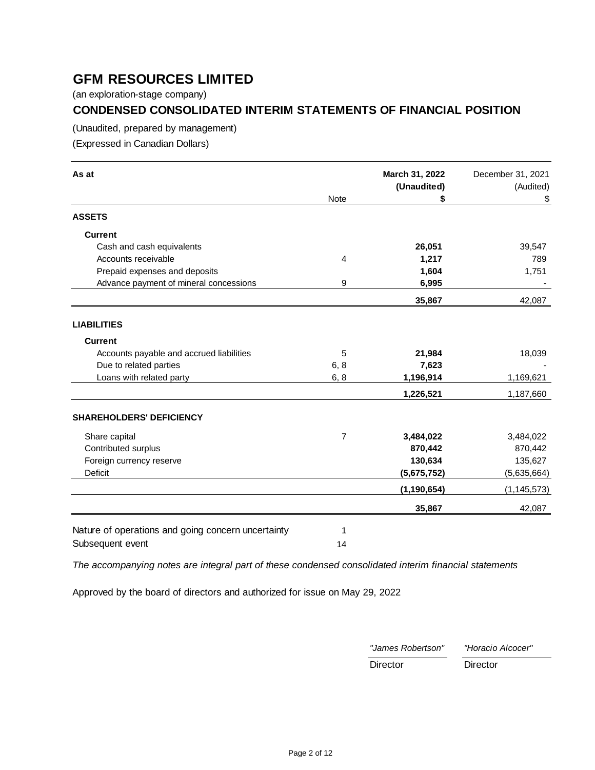(an exploration-stage company)

# **CONDENSED CONSOLIDATED INTERIM STATEMENTS OF FINANCIAL POSITION**

(Unaudited, prepared by management)

(Expressed in Canadian Dollars)

| As at                                              |                | March 31, 2022<br>(Unaudited) | December 31, 2021<br>(Audited) |
|----------------------------------------------------|----------------|-------------------------------|--------------------------------|
|                                                    | Note           | \$                            | \$                             |
| <b>ASSETS</b>                                      |                |                               |                                |
| <b>Current</b>                                     |                |                               |                                |
| Cash and cash equivalents                          |                | 26,051                        | 39,547                         |
| Accounts receivable                                | 4              | 1,217                         | 789                            |
| Prepaid expenses and deposits                      |                | 1,604                         | 1,751                          |
| Advance payment of mineral concessions             | 9              | 6,995                         |                                |
|                                                    |                | 35,867                        | 42,087                         |
|                                                    |                |                               |                                |
| <b>LIABILITIES</b>                                 |                |                               |                                |
| <b>Current</b>                                     |                |                               |                                |
| Accounts payable and accrued liabilities           | 5              | 21,984                        | 18,039                         |
| Due to related parties                             | 6, 8           | 7,623                         |                                |
| Loans with related party                           | 6, 8           | 1,196,914                     | 1,169,621                      |
|                                                    |                | 1,226,521                     | 1,187,660                      |
| <b>SHAREHOLDERS' DEFICIENCY</b>                    |                |                               |                                |
| Share capital                                      | $\overline{7}$ | 3,484,022                     | 3,484,022                      |
| Contributed surplus                                |                | 870,442                       | 870,442                        |
| Foreign currency reserve                           |                | 130,634                       | 135,627                        |
| Deficit                                            |                | (5,675,752)                   | (5,635,664)                    |
|                                                    |                | (1, 190, 654)                 | (1, 145, 573)                  |
|                                                    |                | 35,867                        | 42,087                         |
|                                                    |                |                               |                                |
| Nature of operations and going concern uncertainty | 1              |                               |                                |
| Subsequent event                                   | 14             |                               |                                |

*The accompanying notes are integral part of these condensed consolidated interim financial statements*

Approved by the board of directors and authorized for issue on May 29, 2022

| "James Robertson" | "Horacio Alcocer" |
|-------------------|-------------------|
| Director          | Director          |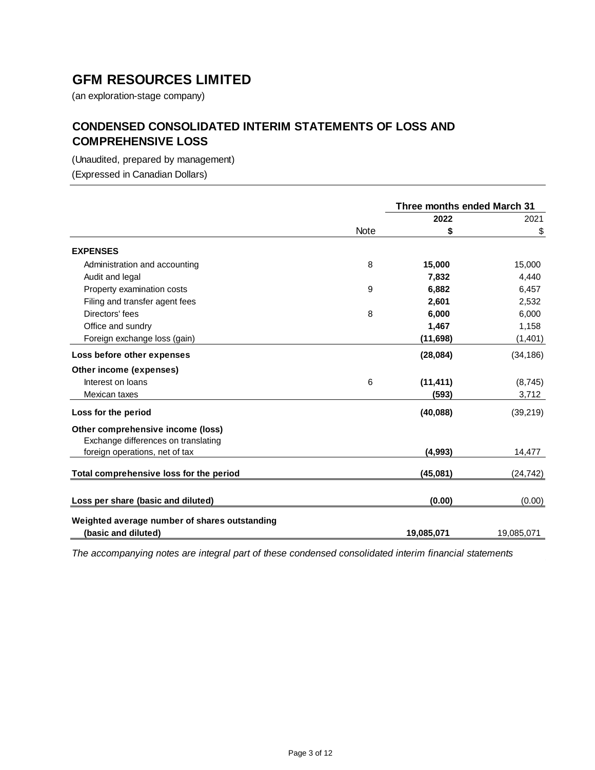(an exploration-stage company)

# **CONDENSED CONSOLIDATED INTERIM STATEMENTS OF LOSS AND COMPREHENSIVE LOSS**

(Unaudited, prepared by management)

(Expressed in Canadian Dollars)

|                                               |      | Three months ended March 31 |            |
|-----------------------------------------------|------|-----------------------------|------------|
|                                               |      | 2022                        | 2021       |
|                                               | Note | \$                          | \$         |
| <b>EXPENSES</b>                               |      |                             |            |
| Administration and accounting                 | 8    | 15,000                      | 15,000     |
| Audit and legal                               |      | 7,832                       | 4,440      |
| Property examination costs                    | 9    | 6,882                       | 6,457      |
| Filing and transfer agent fees                |      | 2,601                       | 2,532      |
| Directors' fees                               | 8    | 6,000                       | 6,000      |
| Office and sundry                             |      | 1,467                       | 1,158      |
| Foreign exchange loss (gain)                  |      | (11, 698)                   | (1, 401)   |
| Loss before other expenses                    |      | (28,084)                    | (34, 186)  |
| Other income (expenses)                       |      |                             |            |
| Interest on loans                             | 6    | (11, 411)                   | (8, 745)   |
| Mexican taxes                                 |      | (593)                       | 3,712      |
| Loss for the period                           |      | (40, 088)                   | (39, 219)  |
| Other comprehensive income (loss)             |      |                             |            |
| Exchange differences on translating           |      |                             |            |
| foreign operations, net of tax                |      | (4,993)                     | 14,477     |
| Total comprehensive loss for the period       |      | (45,081)                    | (24,742)   |
| Loss per share (basic and diluted)            |      | (0.00)                      | (0.00)     |
|                                               |      |                             |            |
| Weighted average number of shares outstanding |      |                             |            |
| (basic and diluted)                           |      | 19,085,071                  | 19,085,071 |

*The accompanying notes are integral part of these condensed consolidated interim financial statements*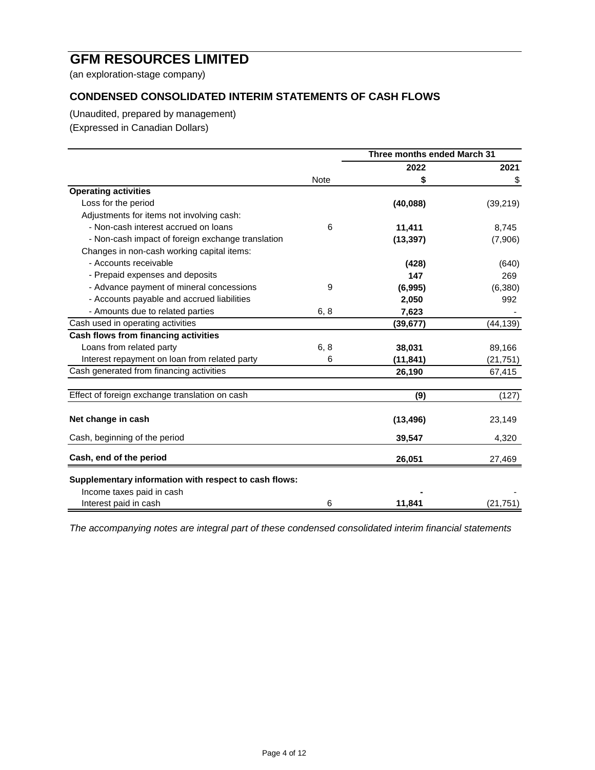(an exploration-stage company)

# **CONDENSED CONSOLIDATED INTERIM STATEMENTS OF CASH FLOWS**

(Unaudited, prepared by management)

(Expressed in Canadian Dollars)

|                                                       |             | Three months ended March 31 |           |
|-------------------------------------------------------|-------------|-----------------------------|-----------|
|                                                       |             | 2022                        | 2021      |
|                                                       | <b>Note</b> | \$                          | \$        |
| <b>Operating activities</b>                           |             |                             |           |
| Loss for the period                                   |             | (40,088)                    | (39, 219) |
| Adjustments for items not involving cash:             |             |                             |           |
| - Non-cash interest accrued on loans                  | 6           | 11,411                      | 8,745     |
| - Non-cash impact of foreign exchange translation     |             | (13, 397)                   | (7,906)   |
| Changes in non-cash working capital items:            |             |                             |           |
| - Accounts receivable                                 |             | (428)                       | (640)     |
| - Prepaid expenses and deposits                       |             | 147                         | 269       |
| - Advance payment of mineral concessions              | 9           | (6,995)                     | (6,380)   |
| - Accounts payable and accrued liabilities            |             | 2,050                       | 992       |
| - Amounts due to related parties                      | 6, 8        | 7,623                       |           |
| Cash used in operating activities                     |             | (39, 677)                   | (44, 139) |
| Cash flows from financing activities                  |             |                             |           |
| Loans from related party                              | 6, 8        | 38,031                      | 89,166    |
| Interest repayment on loan from related party         | 6           | (11, 841)                   | (21, 751) |
| Cash generated from financing activities              |             | 26,190                      | 67,415    |
| Effect of foreign exchange translation on cash        |             | (9)                         | (127)     |
| Net change in cash                                    |             | (13, 496)                   | 23,149    |
| Cash, beginning of the period                         |             | 39,547                      | 4,320     |
| Cash, end of the period                               |             | 26,051                      | 27,469    |
| Supplementary information with respect to cash flows: |             |                             |           |
| Income taxes paid in cash<br>Interest paid in cash    | 6           | 11,841                      | (21, 751) |

*The accompanying notes are integral part of these condensed consolidated interim financial statements*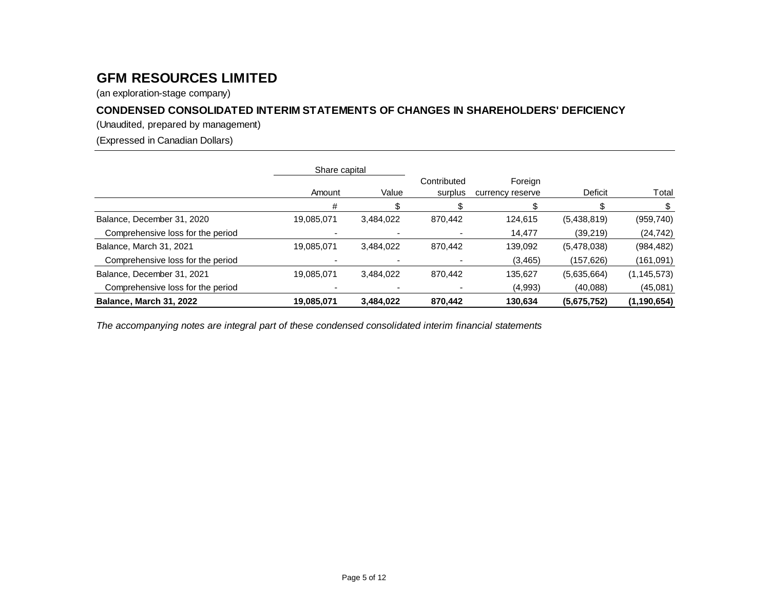(an exploration-stage company)

# **CONDENSED CONSOLIDATED INTERIM STATEMENTS OF CHANGES IN SHAREHOLDERS' DEFICIENCY**

(Unaudited, prepared by management)

(Expressed in Canadian Dollars)

|                                   | Share capital |           |                        |                             |             |               |
|-----------------------------------|---------------|-----------|------------------------|-----------------------------|-------------|---------------|
|                                   | Amount        | Value     | Contributed<br>surplus | Foreign<br>currency reserve | Deficit     | Total         |
|                                   | #             |           |                        |                             |             |               |
| Balance, December 31, 2020        | 19,085,071    | 3.484.022 | 870.442                | 124,615                     | (5,438,819) | (959, 740)    |
| Comprehensive loss for the period |               |           |                        | 14,477                      | (39, 219)   | (24, 742)     |
| Balance, March 31, 2021           | 19,085,071    | 3,484,022 | 870.442                | 139,092                     | (5,478,038) | (984, 482)    |
| Comprehensive loss for the period |               |           |                        | (3,465)                     | (157, 626)  | (161, 091)    |
| Balance, December 31, 2021        | 19,085,071    | 3.484.022 | 870.442                | 135.627                     | (5,635,664) | (1, 145, 573) |
| Comprehensive loss for the period |               |           |                        | (4,993)                     | (40,088)    | (45,081)      |
| Balance, March 31, 2022           | 19,085,071    | 3.484.022 | 870.442                | 130,634                     | (5,675,752) | (1, 190, 654) |

*The accompanying notes are integral part of these condensed consolidated interim financial statements*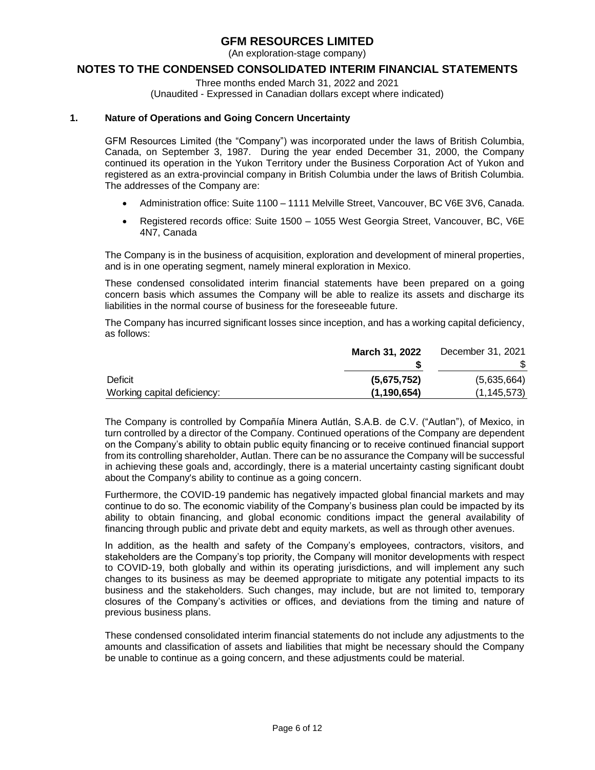(An exploration-stage company)

### **NOTES TO THE CONDENSED CONSOLIDATED INTERIM FINANCIAL STATEMENTS**

Three months ended March 31, 2022 and 2021

(Unaudited - Expressed in Canadian dollars except where indicated)

### **1. Nature of Operations and Going Concern Uncertainty**

GFM Resources Limited (the "Company") was incorporated under the laws of British Columbia, Canada, on September 3, 1987. During the year ended December 31, 2000, the Company continued its operation in the Yukon Territory under the Business Corporation Act of Yukon and registered as an extra-provincial company in British Columbia under the laws of British Columbia. The addresses of the Company are:

- Administration office: Suite 1100 1111 Melville Street, Vancouver, BC V6E 3V6, Canada.
- Registered records office: Suite 1500 1055 West Georgia Street, Vancouver, BC, V6E 4N7, Canada

The Company is in the business of acquisition, exploration and development of mineral properties, and is in one operating segment, namely mineral exploration in Mexico.

These condensed consolidated interim financial statements have been prepared on a going concern basis which assumes the Company will be able to realize its assets and discharge its liabilities in the normal course of business for the foreseeable future.

The Company has incurred significant losses since inception, and has a working capital deficiency, as follows:

|                             | <b>March 31, 2022</b> | December 31, 2021 |
|-----------------------------|-----------------------|-------------------|
|                             |                       |                   |
| Deficit                     | (5,675,752)           | (5,635,664)       |
| Working capital deficiency: | (1, 190, 654)         | (1, 145, 573)     |

The Company is controlled by Compañía Minera Autlán, S.A.B. de C.V. ("Autlan"), of Mexico, in turn controlled by a director of the Company. Continued operations of the Company are dependent on the Company's ability to obtain public equity financing or to receive continued financial support from its controlling shareholder, Autlan. There can be no assurance the Company will be successful in achieving these goals and, accordingly, there is a material uncertainty casting significant doubt about the Company's ability to continue as a going concern.

Furthermore, the COVID-19 pandemic has negatively impacted global financial markets and may continue to do so. The economic viability of the Company's business plan could be impacted by its ability to obtain financing, and global economic conditions impact the general availability of financing through public and private debt and equity markets, as well as through other avenues.

In addition, as the health and safety of the Company's employees, contractors, visitors, and stakeholders are the Company's top priority, the Company will monitor developments with respect to COVID-19, both globally and within its operating jurisdictions, and will implement any such changes to its business as may be deemed appropriate to mitigate any potential impacts to its business and the stakeholders. Such changes, may include, but are not limited to, temporary closures of the Company's activities or offices, and deviations from the timing and nature of previous business plans.

These condensed consolidated interim financial statements do not include any adjustments to the amounts and classification of assets and liabilities that might be necessary should the Company be unable to continue as a going concern, and these adjustments could be material.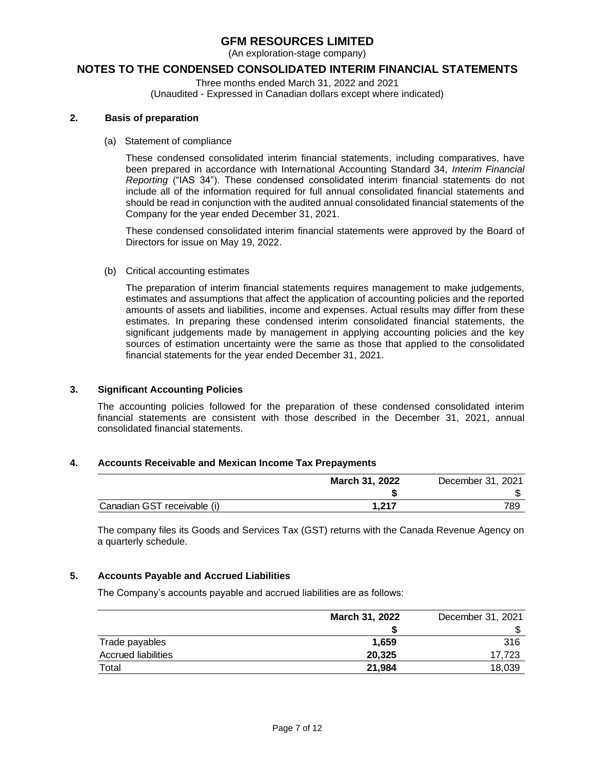(An exploration-stage company)

### **NOTES TO THE CONDENSED CONSOLIDATED INTERIM FINANCIAL STATEMENTS**

Three months ended March 31, 2022 and 2021

(Unaudited - Expressed in Canadian dollars except where indicated)

### **2. Basis of preparation**

(a) Statement of compliance

These condensed consolidated interim financial statements, including comparatives, have been prepared in accordance with International Accounting Standard 34, *Interim Financial Reporting* ("IAS 34"). These condensed consolidated interim financial statements do not include all of the information required for full annual consolidated financial statements and should be read in conjunction with the audited annual consolidated financial statements of the Company for the year ended December 31, 2021.

These condensed consolidated interim financial statements were approved by the Board of Directors for issue on May 19, 2022.

(b) Critical accounting estimates

The preparation of interim financial statements requires management to make judgements, estimates and assumptions that affect the application of accounting policies and the reported amounts of assets and liabilities, income and expenses. Actual results may differ from these estimates. In preparing these condensed interim consolidated financial statements, the significant judgements made by management in applying accounting policies and the key sources of estimation uncertainty were the same as those that applied to the consolidated financial statements for the year ended December 31, 2021.

### **3. Significant Accounting Policies**

The accounting policies followed for the preparation of these condensed consolidated interim financial statements are consistent with those described in the December 31, 2021, annual consolidated financial statements.

### **4. Accounts Receivable and Mexican Income Tax Prepayments**

|                             | <b>March 31, 2022</b> | December 31, 2021 |
|-----------------------------|-----------------------|-------------------|
|                             |                       |                   |
| Canadian GST receivable (i) | 1.217                 | 789               |

The company files its Goods and Services Tax (GST) returns with the Canada Revenue Agency on a quarterly schedule.

### **5. Accounts Payable and Accrued Liabilities**

The Company's accounts payable and accrued liabilities are as follows:

|                            | March 31, 2022 | December 31, 2021 |
|----------------------------|----------------|-------------------|
|                            |                |                   |
| Trade payables             | 1.659          | 316               |
| <b>Accrued liabilities</b> | 20.325         | 17.723            |
| Total                      | 21.984         | 18,039            |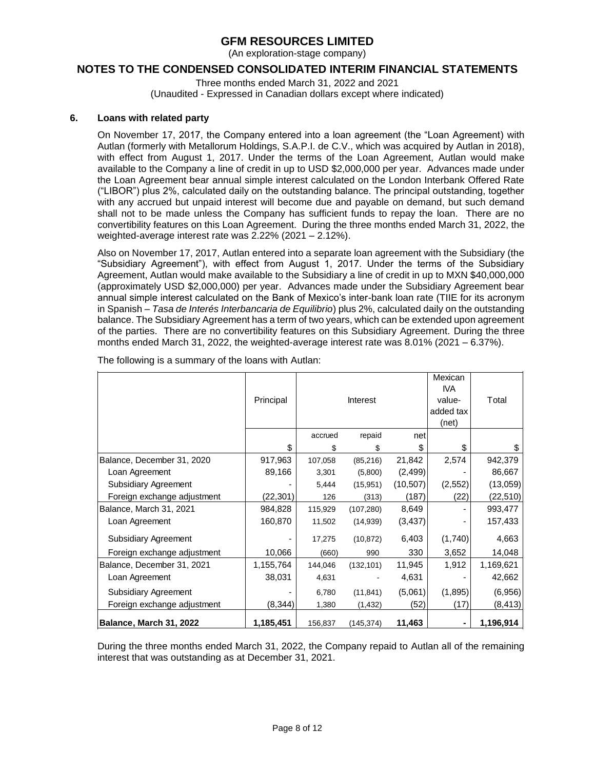(An exploration-stage company)

### **NOTES TO THE CONDENSED CONSOLIDATED INTERIM FINANCIAL STATEMENTS**

Three months ended March 31, 2022 and 2021 (Unaudited - Expressed in Canadian dollars except where indicated)

### **6. Loans with related party**

On November 17, 2017, the Company entered into a loan agreement (the "Loan Agreement) with Autlan (formerly with Metallorum Holdings, S.A.P.I. de C.V., which was acquired by Autlan in 2018), with effect from August 1, 2017. Under the terms of the Loan Agreement, Autlan would make available to the Company a line of credit in up to USD \$2,000,000 per year. Advances made under the Loan Agreement bear annual simple interest calculated on the London Interbank Offered Rate ("LIBOR") plus 2%, calculated daily on the outstanding balance. The principal outstanding, together with any accrued but unpaid interest will become due and payable on demand, but such demand shall not to be made unless the Company has sufficient funds to repay the loan. There are no convertibility features on this Loan Agreement. During the three months ended March 31, 2022, the weighted-average interest rate was 2.22% (2021 – 2.12%).

Also on November 17, 2017, Autlan entered into a separate loan agreement with the Subsidiary (the "Subsidiary Agreement"), with effect from August 1, 2017. Under the terms of the Subsidiary Agreement, Autlan would make available to the Subsidiary a line of credit in up to MXN \$40,000,000 (approximately USD \$2,000,000) per year. Advances made under the Subsidiary Agreement bear annual simple interest calculated on the Bank of Mexico's inter-bank loan rate (TIIE for its acronym in Spanish – *Tasa de Interés Interbancaria de Equilibrio*) plus 2%, calculated daily on the outstanding balance. The Subsidiary Agreement has a term of two years, which can be extended upon agreement of the parties. There are no convertibility features on this Subsidiary Agreement. During the three months ended March 31, 2022, the weighted-average interest rate was 8.01% (2021 – 6.37%).

|                             |           |         |            |           | Mexican<br><b>IVA</b> |           |
|-----------------------------|-----------|---------|------------|-----------|-----------------------|-----------|
|                             | Principal |         | Interest   |           | value-                | Total     |
|                             |           |         |            |           | added tax             |           |
|                             |           |         |            |           | (net)                 |           |
|                             |           | accrued | repaid     | net       |                       |           |
|                             | \$        | \$      | \$         | \$        | \$                    | \$        |
| Balance, December 31, 2020  | 917,963   | 107,058 | (85, 216)  | 21,842    | 2,574                 | 942,379   |
| Loan Agreement              | 89,166    | 3,301   | (5,800)    | (2, 499)  |                       | 86,667    |
| Subsidiary Agreement        |           | 5,444   | (15,951)   | (10, 507) | (2, 552)              | (13,059)  |
| Foreign exchange adjustment | (22, 301) | 126     | (313)      | (187)     | (22)                  | (22, 510) |
| Balance, March 31, 2021     | 984,828   | 115,929 | (107, 280) | 8,649     |                       | 993,477   |
| Loan Agreement              | 160,870   | 11,502  | (14, 939)  | (3, 437)  |                       | 157,433   |
| Subsidiary Agreement        |           | 17,275  | (10, 872)  | 6,403     | (1,740)               | 4,663     |
| Foreign exchange adjustment | 10,066    | (660)   | 990        | 330       | 3,652                 | 14,048    |
| Balance, December 31, 2021  | 1,155,764 | 144,046 | (132, 101) | 11,945    | 1,912                 | 1,169,621 |
| Loan Agreement              | 38,031    | 4,631   |            | 4,631     |                       | 42,662    |
| Subsidiary Agreement        |           | 6,780   | (11, 841)  | (5,061)   | (1,895)               | (6,956)   |
| Foreign exchange adjustment | (8, 344)  | 1,380   | (1, 432)   | (52)      | (17)                  | (8, 413)  |
| Balance, March 31, 2022     | 1,185,451 | 156,837 | (145, 374) | 11,463    |                       | 1,196,914 |

The following is a summary of the loans with Autlan:

During the three months ended March 31, 2022, the Company repaid to Autlan all of the remaining interest that was outstanding as at December 31, 2021.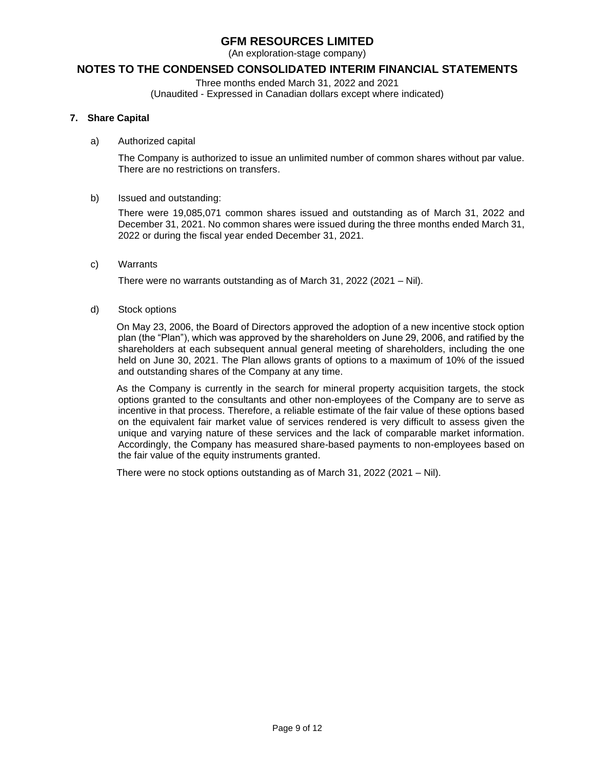(An exploration-stage company)

### **NOTES TO THE CONDENSED CONSOLIDATED INTERIM FINANCIAL STATEMENTS**

Three months ended March 31, 2022 and 2021

(Unaudited - Expressed in Canadian dollars except where indicated)

### **7. Share Capital**

#### a) Authorized capital

The Company is authorized to issue an unlimited number of common shares without par value. There are no restrictions on transfers.

### b) Issued and outstanding:

There were 19,085,071 common shares issued and outstanding as of March 31, 2022 and December 31, 2021. No common shares were issued during the three months ended March 31, 2022 or during the fiscal year ended December 31, 2021.

c) Warrants

There were no warrants outstanding as of March 31, 2022 (2021 – Nil).

### d) Stock options

On May 23, 2006, the Board of Directors approved the adoption of a new incentive stock option plan (the "Plan"), which was approved by the shareholders on June 29, 2006, and ratified by the shareholders at each subsequent annual general meeting of shareholders, including the one held on June 30, 2021. The Plan allows grants of options to a maximum of 10% of the issued and outstanding shares of the Company at any time.

As the Company is currently in the search for mineral property acquisition targets, the stock options granted to the consultants and other non-employees of the Company are to serve as incentive in that process. Therefore, a reliable estimate of the fair value of these options based on the equivalent fair market value of services rendered is very difficult to assess given the unique and varying nature of these services and the lack of comparable market information. Accordingly, the Company has measured share-based payments to non-employees based on the fair value of the equity instruments granted.

There were no stock options outstanding as of March 31, 2022 (2021 – Nil).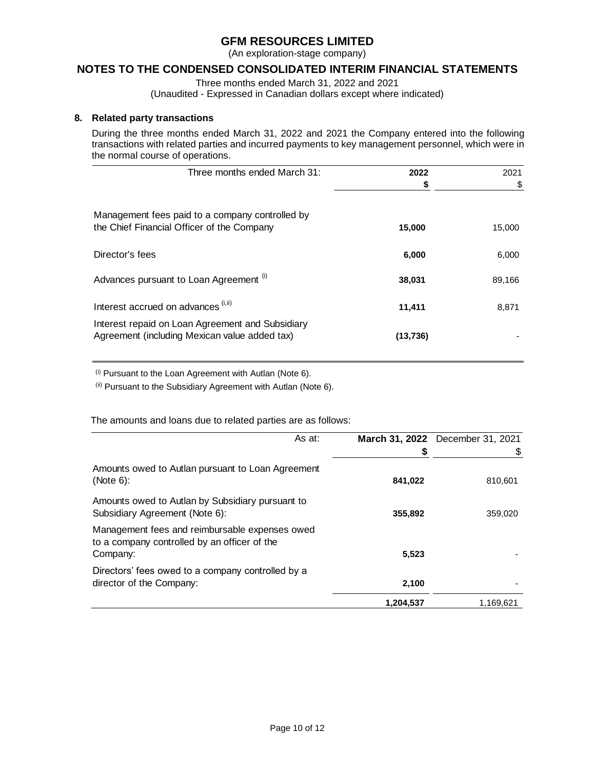(An exploration-stage company)

### **NOTES TO THE CONDENSED CONSOLIDATED INTERIM FINANCIAL STATEMENTS**

Three months ended March 31, 2022 and 2021

(Unaudited - Expressed in Canadian dollars except where indicated)

### **8. Related party transactions**

During the three months ended March 31, 2022 and 2021 the Company entered into the following transactions with related parties and incurred payments to key management personnel, which were in the normal course of operations.

| Three months ended March 31:                                                                      | 2022      | 2021   |
|---------------------------------------------------------------------------------------------------|-----------|--------|
|                                                                                                   | \$        | \$     |
| Management fees paid to a company controlled by<br>the Chief Financial Officer of the Company     | 15,000    | 15,000 |
| Director's fees                                                                                   | 6,000     | 6,000  |
| Advances pursuant to Loan Agreement (i)                                                           | 38,031    | 89,166 |
| Interest accrued on advances (i, ii)                                                              | 11,411    | 8,871  |
| Interest repaid on Loan Agreement and Subsidiary<br>Agreement (including Mexican value added tax) | (13, 736) |        |

 $(i)$  Pursuant to the Loan Agreement with Autlan (Note 6).

(ii) Pursuant to the Subsidiary Agreement with Autlan (Note 6).

The amounts and loans due to related parties are as follows:

| As at:                                                                                                     |           | March 31, 2022 December 31, 2021 |
|------------------------------------------------------------------------------------------------------------|-----------|----------------------------------|
|                                                                                                            |           | \$                               |
| Amounts owed to Autlan pursuant to Loan Agreement<br>(Note 6):                                             | 841,022   | 810,601                          |
| Amounts owed to Autlan by Subsidiary pursuant to<br>Subsidiary Agreement (Note 6):                         | 355,892   | 359,020                          |
| Management fees and reimbursable expenses owed<br>to a company controlled by an officer of the<br>Company: | 5,523     |                                  |
| Directors' fees owed to a company controlled by a<br>director of the Company:                              | 2,100     |                                  |
|                                                                                                            | 1,204,537 | 1,169,621                        |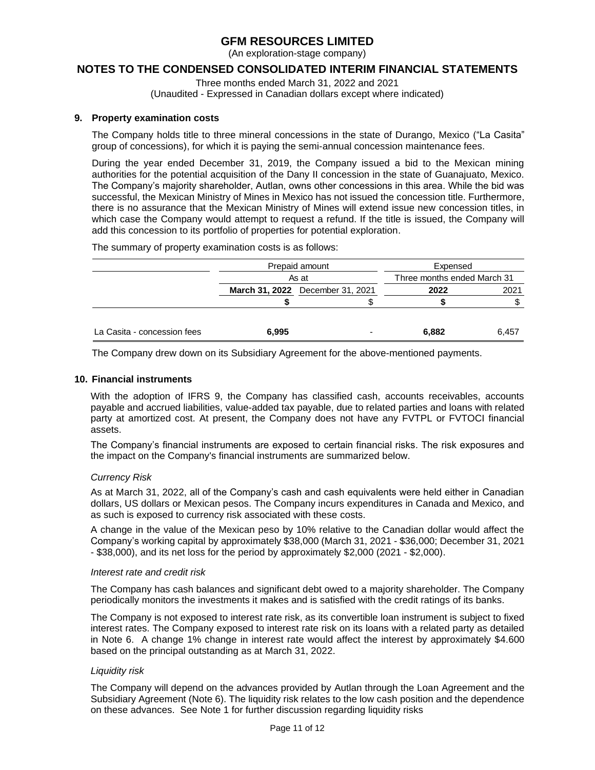(An exploration-stage company)

### **NOTES TO THE CONDENSED CONSOLIDATED INTERIM FINANCIAL STATEMENTS**

Three months ended March 31, 2022 and 2021

(Unaudited - Expressed in Canadian dollars except where indicated)

### **9. Property examination costs**

The Company holds title to three mineral concessions in the state of Durango, Mexico ("La Casita" group of concessions), for which it is paying the semi-annual concession maintenance fees.

During the year ended December 31, 2019, the Company issued a bid to the Mexican mining authorities for the potential acquisition of the Dany II concession in the state of Guanajuato, Mexico. The Company's majority shareholder, Autlan, owns other concessions in this area. While the bid was successful, the Mexican Ministry of Mines in Mexico has not issued the concession title. Furthermore, there is no assurance that the Mexican Ministry of Mines will extend issue new concession titles, in which case the Company would attempt to request a refund. If the title is issued, the Company will add this concession to its portfolio of properties for potential exploration.

The summary of property examination costs is as follows:

|                             | Prepaid amount                   |  | Expensed                    |       |  |
|-----------------------------|----------------------------------|--|-----------------------------|-------|--|
|                             | As at                            |  | Three months ended March 31 |       |  |
|                             | March 31, 2022 December 31, 2021 |  | 2022                        | 2021  |  |
|                             |                                  |  |                             |       |  |
| La Casita - concession fees | 6,995                            |  | 6.882                       | 6,457 |  |

The Company drew down on its Subsidiary Agreement for the above-mentioned payments.

### **10. Financial instruments**

With the adoption of IFRS 9, the Company has classified cash, accounts receivables, accounts payable and accrued liabilities, value-added tax payable, due to related parties and loans with related party at amortized cost. At present, the Company does not have any FVTPL or FVTOCI financial assets.

The Company's financial instruments are exposed to certain financial risks. The risk exposures and the impact on the Company's financial instruments are summarized below.

### *Currency Risk*

As at March 31, 2022, all of the Company's cash and cash equivalents were held either in Canadian dollars, US dollars or Mexican pesos. The Company incurs expenditures in Canada and Mexico, and as such is exposed to currency risk associated with these costs.

A change in the value of the Mexican peso by 10% relative to the Canadian dollar would affect the Company's working capital by approximately \$38,000 (March 31, 2021 - \$36,000; December 31, 2021 - \$38,000), and its net loss for the period by approximately \$2,000 (2021 - \$2,000).

#### *Interest rate and credit risk*

The Company has cash balances and significant debt owed to a majority shareholder. The Company periodically monitors the investments it makes and is satisfied with the credit ratings of its banks.

The Company is not exposed to interest rate risk, as its convertible loan instrument is subject to fixed interest rates. The Company exposed to interest rate risk on its loans with a related party as detailed in Note 6. A change 1% change in interest rate would affect the interest by approximately \$4.600 based on the principal outstanding as at March 31, 2022.

### *Liquidity risk*

The Company will depend on the advances provided by Autlan through the Loan Agreement and the Subsidiary Agreement (Note 6). The liquidity risk relates to the low cash position and the dependence on these advances. See Note 1 for further discussion regarding liquidity risks